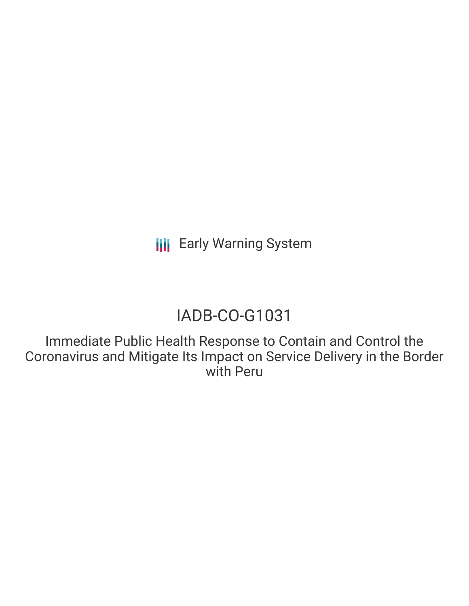# IADB-CO-G1031

Immediate Public Health Response to Contain and Control the Coronavirus and Mitigate Its Impact on Service Delivery in the Border with Peru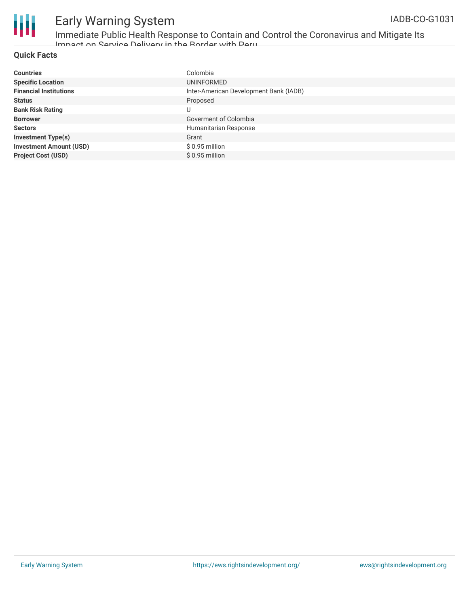

Immediate Public Health Response to Contain and Control the Coronavirus and Mitigate Its Impact on Service Delivery in the Border with Peru

### **Quick Facts**

| <b>Countries</b>               | Colombia                               |
|--------------------------------|----------------------------------------|
| <b>Specific Location</b>       | UNINFORMED                             |
| <b>Financial Institutions</b>  | Inter-American Development Bank (IADB) |
| <b>Status</b>                  | Proposed                               |
| <b>Bank Risk Rating</b>        | U                                      |
| <b>Borrower</b>                | Goverment of Colombia                  |
| <b>Sectors</b>                 | Humanitarian Response                  |
| <b>Investment Type(s)</b>      | Grant                                  |
| <b>Investment Amount (USD)</b> | $$0.95$ million                        |
| <b>Project Cost (USD)</b>      | $$0.95$ million                        |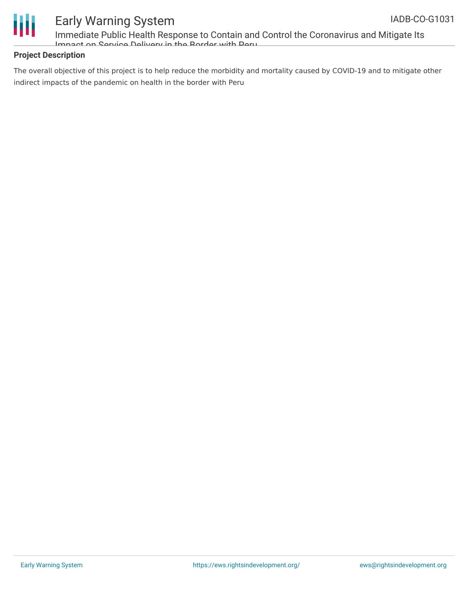

Immediate Public Health Response to Contain and Control the Coronavirus and Mitigate Its Impact on Service Delivery in the Border with Peru

### **Project Description**

The overall objective of this project is to help reduce the morbidity and mortality caused by COVID-19 and to mitigate other indirect impacts of the pandemic on health in the border with Peru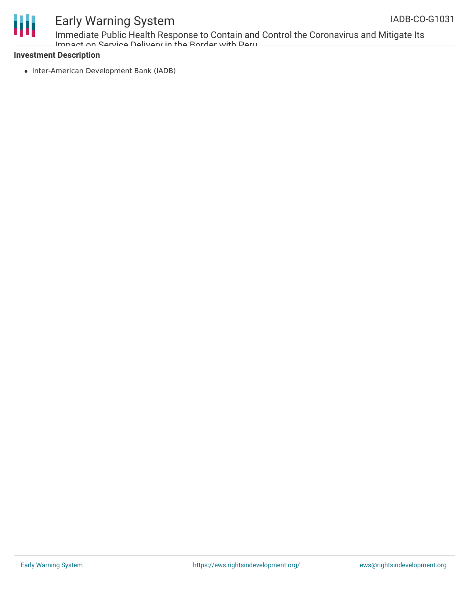

Immediate Public Health Response to Contain and Control the Coronavirus and Mitigate Its Impact on Service Delivery in the Border with Peru

#### **Investment Description**

• Inter-American Development Bank (IADB)